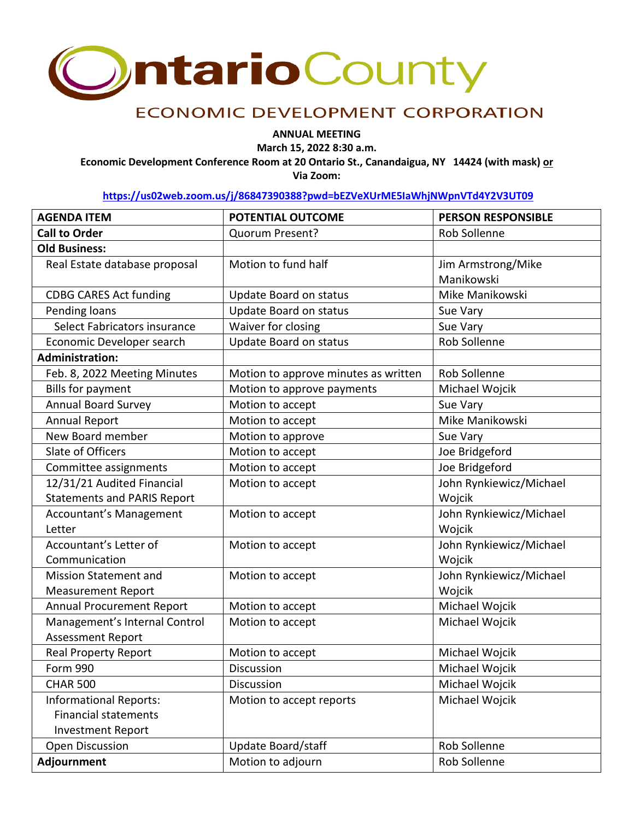

## **ECONOMIC DEVELOPMENT CORPORATION**

**ANNUAL MEETING**

**March 15, 2022 8:30 a.m.**

**Economic Development Conference Room at 20 Ontario St., Canandaigua, NY 14424 (with mask) or Via Zoom:** 

**<https://us02web.zoom.us/j/86847390388?pwd=bEZVeXUrME5IaWhjNWpnVTd4Y2V3UT09>**

| <b>AGENDA ITEM</b>                 | POTENTIAL OUTCOME                    | <b>PERSON RESPONSIBLE</b> |
|------------------------------------|--------------------------------------|---------------------------|
| <b>Call to Order</b>               | Quorum Present?                      | Rob Sollenne              |
| <b>Old Business:</b>               |                                      |                           |
| Real Estate database proposal      | Motion to fund half                  | Jim Armstrong/Mike        |
|                                    |                                      | Manikowski                |
| <b>CDBG CARES Act funding</b>      | Update Board on status               | Mike Manikowski           |
| Pending loans                      | Update Board on status               | Sue Vary                  |
| Select Fabricators insurance       | Waiver for closing                   | Sue Vary                  |
| Economic Developer search          | Update Board on status               | Rob Sollenne              |
| <b>Administration:</b>             |                                      |                           |
| Feb. 8, 2022 Meeting Minutes       | Motion to approve minutes as written | Rob Sollenne              |
| <b>Bills for payment</b>           | Motion to approve payments           | Michael Wojcik            |
| <b>Annual Board Survey</b>         | Motion to accept                     | Sue Vary                  |
| <b>Annual Report</b>               | Motion to accept                     | Mike Manikowski           |
| New Board member                   | Motion to approve                    | Sue Vary                  |
| Slate of Officers                  | Motion to accept                     | Joe Bridgeford            |
| Committee assignments              | Motion to accept                     | Joe Bridgeford            |
| 12/31/21 Audited Financial         | Motion to accept                     | John Rynkiewicz/Michael   |
| <b>Statements and PARIS Report</b> |                                      | Wojcik                    |
| <b>Accountant's Management</b>     | Motion to accept                     | John Rynkiewicz/Michael   |
| Letter                             |                                      | Wojcik                    |
| Accountant's Letter of             | Motion to accept                     | John Rynkiewicz/Michael   |
| Communication                      |                                      | Wojcik                    |
| <b>Mission Statement and</b>       | Motion to accept                     | John Rynkiewicz/Michael   |
| <b>Measurement Report</b>          |                                      | Wojcik                    |
| <b>Annual Procurement Report</b>   | Motion to accept                     | Michael Wojcik            |
| Management's Internal Control      | Motion to accept                     | Michael Wojcik            |
| <b>Assessment Report</b>           |                                      |                           |
| <b>Real Property Report</b>        | Motion to accept                     | Michael Wojcik            |
| Form 990                           | <b>Discussion</b>                    | Michael Wojcik            |
| <b>CHAR 500</b>                    | Discussion                           | Michael Wojcik            |
| <b>Informational Reports:</b>      | Motion to accept reports             | Michael Wojcik            |
| <b>Financial statements</b>        |                                      |                           |
| <b>Investment Report</b>           |                                      |                           |
| <b>Open Discussion</b>             | Update Board/staff                   | Rob Sollenne              |
| Adjournment                        | Motion to adjourn                    | Rob Sollenne              |